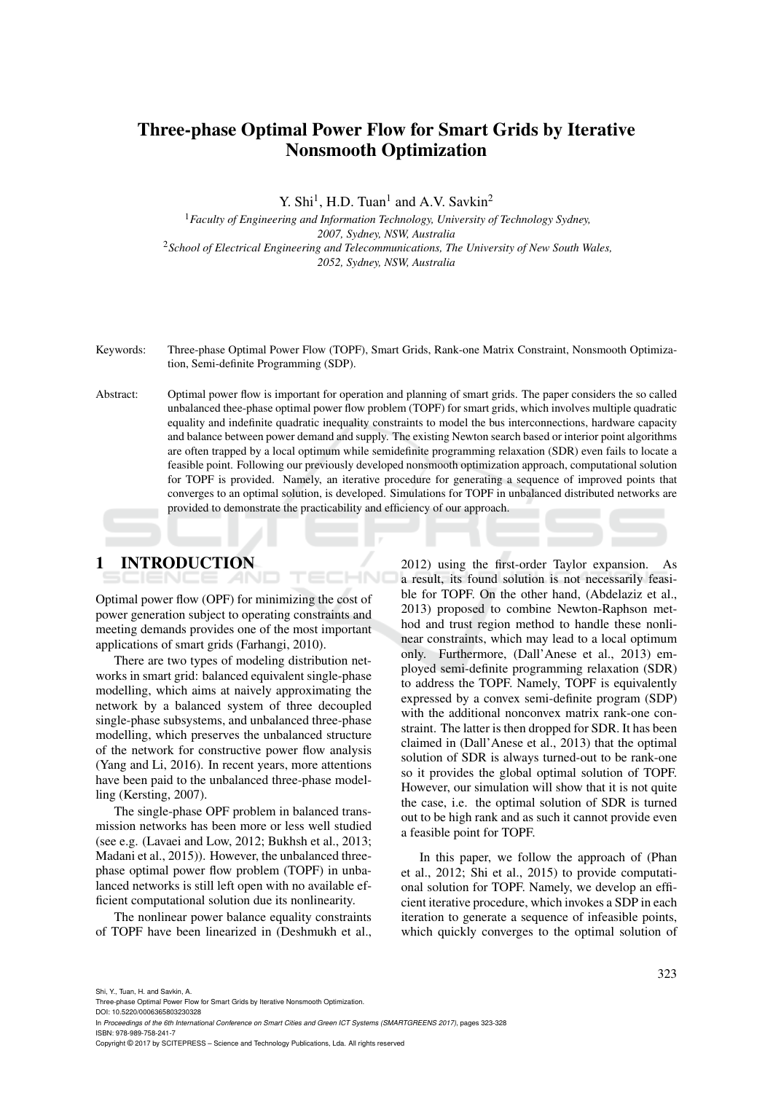# Three-phase Optimal Power Flow for Smart Grids by Iterative Nonsmooth Optimization

Y. Shi<sup>1</sup>, H.D. Tuan<sup>1</sup> and A.V. Savkin<sup>2</sup>

<sup>1</sup>*Faculty of Engineering and Information Technology, University of Technology Sydney, 2007, Sydney, NSW, Australia* <sup>2</sup>*School of Electrical Engineering and Telecommunications, The University of New South Wales, 2052, Sydney, NSW, Australia*

Keywords: Three-phase Optimal Power Flow (TOPF), Smart Grids, Rank-one Matrix Constraint, Nonsmooth Optimization, Semi-definite Programming (SDP).

Abstract: Optimal power flow is important for operation and planning of smart grids. The paper considers the so called unbalanced thee-phase optimal power flow problem (TOPF) for smart grids, which involves multiple quadratic equality and indefinite quadratic inequality constraints to model the bus interconnections, hardware capacity and balance between power demand and supply. The existing Newton search based or interior point algorithms are often trapped by a local optimum while semidefinite programming relaxation (SDR) even fails to locate a feasible point. Following our previously developed nonsmooth optimization approach, computational solution for TOPF is provided. Namely, an iterative procedure for generating a sequence of improved points that converges to an optimal solution, is developed. Simulations for TOPF in unbalanced distributed networks are provided to demonstrate the practicability and efficiency of our approach.

1 INTRODUCTION

Optimal power flow (OPF) for minimizing the cost of power generation subject to operating constraints and meeting demands provides one of the most important applications of smart grids (Farhangi, 2010).

There are two types of modeling distribution networks in smart grid: balanced equivalent single-phase modelling, which aims at naively approximating the network by a balanced system of three decoupled single-phase subsystems, and unbalanced three-phase modelling, which preserves the unbalanced structure of the network for constructive power flow analysis (Yang and Li, 2016). In recent years, more attentions have been paid to the unbalanced three-phase modelling (Kersting, 2007).

The single-phase OPF problem in balanced transmission networks has been more or less well studied (see e.g. (Lavaei and Low, 2012; Bukhsh et al., 2013; Madani et al., 2015)). However, the unbalanced threephase optimal power flow problem (TOPF) in unbalanced networks is still left open with no available efficient computational solution due its nonlinearity.

The nonlinear power balance equality constraints of TOPF have been linearized in (Deshmukh et al.,

 $2012$ ) using the first-order Taylor expansion. a result, its found solution is not necessarily feasible for TOPF. On the other hand, (Abdelaziz et al., 2013) proposed to combine Newton-Raphson method and trust region method to handle these nonlinear constraints, which may lead to a local optimum only. Furthermore, (Dall'Anese et al., 2013) employed semi-definite programming relaxation (SDR) to address the TOPF. Namely, TOPF is equivalently expressed by a convex semi-definite program (SDP) with the additional nonconvex matrix rank-one constraint. The latter is then dropped for SDR. It has been claimed in (Dall'Anese et al., 2013) that the optimal solution of SDR is always turned-out to be rank-one so it provides the global optimal solution of TOPF. However, our simulation will show that it is not quite the case, i.e. the optimal solution of SDR is turned out to be high rank and as such it cannot provide even a feasible point for TOPF.

In this paper, we follow the approach of (Phan et al., 2012; Shi et al., 2015) to provide computational solution for TOPF. Namely, we develop an efficient iterative procedure, which invokes a SDP in each iteration to generate a sequence of infeasible points, which quickly converges to the optimal solution of

Shi, Y., Tuan, H. and Savkin, A.

DOI: 10.5220/0006365803230328

In *Proceedings of the 6th International Conference on Smart Cities and Green ICT Systems (SMARTGREENS 2017)*, pages 323-328 ISBN: 978-989-758-241-7

Copyright © 2017 by SCITEPRESS – Science and Technology Publications, Lda. All rights reserved

Three-phase Optimal Power Flow for Smart Grids by Iterative Nonsmooth Optimization.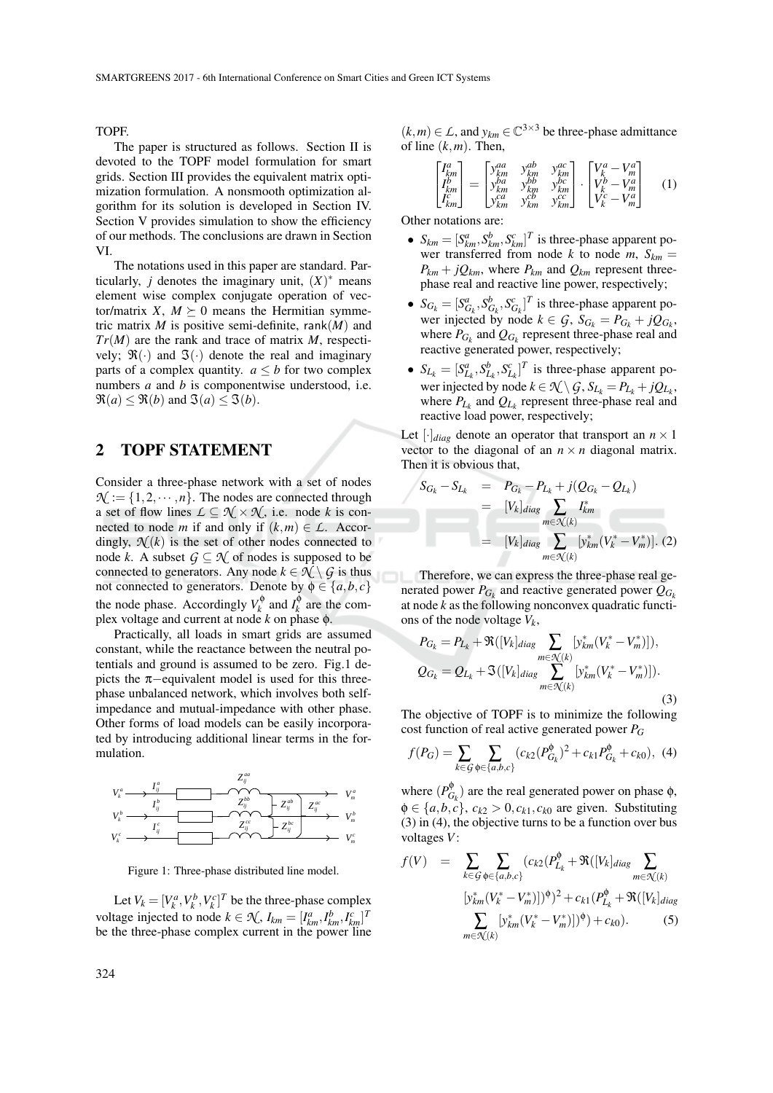TOPF.

The paper is structured as follows. Section II is devoted to the TOPF model formulation for smart grids. Section III provides the equivalent matrix optimization formulation. A nonsmooth optimization algorithm for its solution is developed in Section IV. Section V provides simulation to show the efficiency of our methods. The conclusions are drawn in Section VI.

The notations used in this paper are standard. Particularly, *j* denotes the imaginary unit,  $(X)^*$  means element wise complex conjugate operation of vector/matrix *X*,  $M \succeq 0$  means the Hermitian symmetric matrix *M* is positive semi-definite, rank(*M*) and *Tr*(*M*) are the rank and trace of matrix *M*, respectively;  $\mathfrak{R}(\cdot)$  and  $\mathfrak{I}(\cdot)$  denote the real and imaginary parts of a complex quantity.  $a \leq b$  for two complex numbers *a* and *b* is componentwise understood, i.e.  $\Re(a) \leq \Re(b)$  and  $\Im(a) \leq \Im(b)$ .

### 2 TOPF STATEMENT

Consider a three-phase network with a set of nodes  $\mathcal{N} := \{1, 2, \dots, n\}$ . The nodes are connected through a set of flow lines  $\mathcal{L} \subseteq \mathcal{N} \times \mathcal{N}$ , i.e. node *k* is connected to node *m* if and only if  $(k,m) \in L$ . Accordingly,  $\mathcal{N}(k)$  is the set of other nodes connected to node *k*. A subset  $G \subseteq \mathcal{N}$  of nodes is supposed to be connected to generators. Any node  $k \in \mathcal{N} \setminus \mathcal{G}$  is thus not connected to generators. Denote by  $\phi \in \{a, b, c\}$ the node phase. Accordingly  $V_k^{\phi}$  $I_k^{\phi}$  and  $I_k^{\phi}$  $\chi^{\varphi}$  are the complex voltage and current at node *k* on phase φ.

Practically, all loads in smart grids are assumed constant, while the reactance between the neutral potentials and ground is assumed to be zero. Fig.1 depicts the  $π$ -equivalent model is used for this threephase unbalanced network, which involves both selfimpedance and mutual-impedance with other phase. Other forms of load models can be easily incorporated by introducing additional linear terms in the formulation.



Figure 1: Three-phase distributed line model.

Let  $V_k = [V_k^a, V_k^b, V_k^c]^T$  be the three-phase complex voltage injected to node  $k \in \mathcal{K}$ ,  $I_{km} = [I_{km}^a, I_{km}^b, I_{km}^c]^T$ be the three-phase complex current in the power line

 $(k,m)$  ∈ *L*, and  $y_{km}$  ∈  $\mathbb{C}^{3\times3}$  be three-phase admittance of line  $(k,m)$ . Then,

$$
\begin{bmatrix} I_{km}^a \\ I_{km}^b \\ I_{km}^c \end{bmatrix} = \begin{bmatrix} y_{km}^{aa} & y_{km}^{ab} & y_{km}^{ac} \\ y_{km}^{ba} & y_{km}^{bb} & y_{km}^{bc} \\ y_{km}^{ca} & y_{km}^{ca} & y_{km}^{ca} \end{bmatrix} \cdot \begin{bmatrix} V_{k}^a - V_{m}^a \\ V_{k}^b - V_{m}^a \\ V_{k}^c - V_{m}^a \end{bmatrix} \quad (1)
$$

Other notations are:

- $S_{km} = [S_{km}^a, S_{km}^b, S_{km}^c]^T$  is three-phase apparent power transferred from node *k* to node  $m$ ,  $S_{km}$  =  $P_{km} + jQ_{km}$ , where  $P_{km}$  and  $Q_{km}$  represent threephase real and reactive line power, respectively;
- $S_{G_k} = [S_{G_k}^a, S_{G_k}^b, S_{G_k}^c]^T$  is three-phase apparent power injected by node  $k \in \mathcal{G}$ ,  $S_{G_k} = P_{G_k} + jQ_{G_k}$ , where  $P_{G_k}$  and  $Q_{G_k}$  represent three-phase real and reactive generated power, respectively;
- $S_{L_k} = [S_{L_k}^a, S_{L_k}^b, S_{L_k}^c]^T$  is three-phase apparent power injected by node  $k \in \mathcal{K} \setminus \mathcal{G}$ ,  $S_{L_k} = P_{L_k} + jQ_{L_k}$ , where  $P_{L_k}$  and  $Q_{L_k}$  represent three-phase real and reactive load power, respectively;

Let  $[\cdot]_{diag}$  denote an operator that transport an  $n \times 1$ vector to the diagonal of an  $n \times n$  diagonal matrix. Then it is obvious that,

$$
S_{G_k} - S_{L_k} = P_{G_k} - P_{L_k} + j(Q_{G_k} - Q_{L_k})
$$
  
\n
$$
= [V_k]_{diag} \sum_{m \in \mathcal{N}(k)} I_{km}^*
$$
  
\n
$$
= [V_k]_{diag} \sum_{m \in \mathcal{N}(k)} [y_{km}^*(V_k^* - V_m^*)]. (2)
$$

Therefore, we can express the three-phase real generated power  $P_{G_k}$  and reactive generated power  $Q_{G_k}$ at node *k* as the following nonconvex quadratic functions of the node voltage  $V_k$ ,

$$
P_{G_k} = P_{L_k} + \Re([V_k]_{diag} \sum_{m \in \mathcal{N}(k)} [y_{km}^*(V_k^* - V_m^*)]),
$$
  
\n
$$
Q_{G_k} = Q_{L_k} + \Im([V_k]_{diag} \sum_{m \in \mathcal{N}(k)} [y_{km}^*(V_k^* - V_m^*)]).
$$
\n(3)

The objective of TOPF is to minimize the following cost function of real active generated power *P<sup>G</sup>*

$$
f(P_G) = \sum_{k \in \mathcal{G}} \sum_{\phi \in \{a, b, c\}} (c_{k2} (P_{G_k}^{\phi})^2 + c_{k1} P_{G_k}^{\phi} + c_{k0}), \tag{4}
$$

 $Z_{ij}^{\alpha c}$   $\phi \in \{a, b, c\}, c_{k2} > 0, c_{k1}, c_{k0}$  are given. Substituting *v*<sup>*a*</sup> *where*  $(P_{G_k}^{\phi})$  are the r  $V_m^b$  (3) in (4), the objective turns to be a function over bus  $V_m^c$  voltages  $V$ :  $G_k^{\varphi}$  are the real generated power on phase  $\varphi$ ,

$$
f(V) = \sum_{k \in \mathcal{G}} \sum_{\phi \in \{a,b,c\}} (c_{k2}(P_{L_k}^{\phi} + \Re([V_k]_{diag} \sum_{m \in \mathcal{K}(k)} (V_k \Delta_{m})_{m})^{\phi})^2 + c_{k1}(P_{L_k}^{\phi} + \Re([V_k]_{diag} \sum_{m \in \mathcal{K}(k)} [y_{km}^*(V_k^* - V_m^*)])^{\phi}) + c_{k0}).
$$
 (5)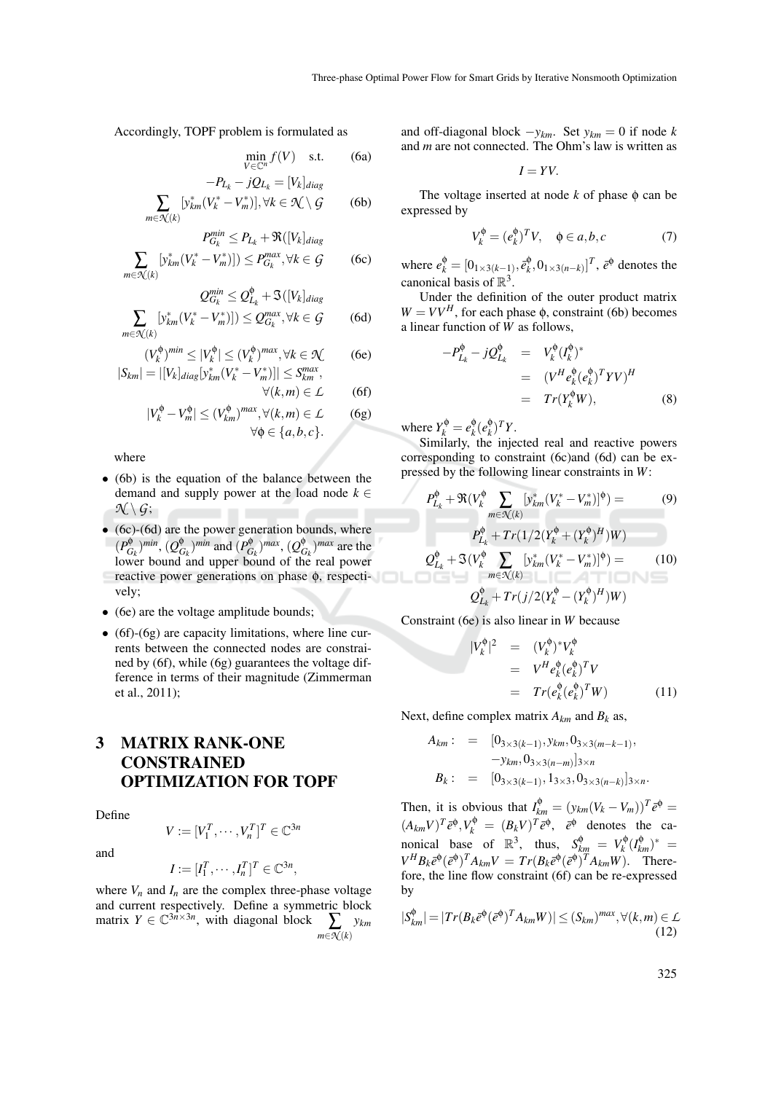Accordingly, TOPF problem is formulated as

$$
\min_{V \in \mathbb{C}^n} f(V) \quad \text{s.t.} \tag{6a}
$$
\n
$$
-P_{L_k} - jQ_{L_k} = [V_k]_{diag}
$$

$$
\sum_{m \in \mathcal{N}(k)} \left[ y_{km}^*(V_k^* - V_m^*) \right], \forall k \in \mathcal{N} \setminus \mathcal{G} \tag{6b}
$$

$$
P_{G_k}^{min} \le P_{L_k} + \Re([V_k]_{diag}
$$
  

$$
\sum_{m \in \mathcal{N}(k)} [y_{km}^*(V_k^* - V_m^*)]) \le P_{G_k}^{max}, \forall k \in \mathcal{G}
$$
 (6c)

$$
Q_{G_k}^{min} \leq Q_{L_k}^{\phi} + \mathfrak{S}([V_k]_{diag}
$$

$$
\sum_{m \in \mathcal{R}(k)} \left[ y_{km}^*(V_k^* - V_m^*) \right] \le Q_{G_k}^{max}, \forall k \in \mathcal{G} \tag{6d}
$$

$$
(V_k^{\phi})^{min} \le |V_k^{\phi}| \le (V_k^{\phi})^{max}, \forall k \in \mathcal{N} \quad \text{(6e)}
$$
  

$$
|S_{km}| = |[V_k]_{diag}[y_{km}^*(V_k^* - V_m^*)]| \le S_{km}^{max},
$$

$$
\forall (k,m) \in \mathcal{L} \qquad (6f)
$$
  

$$
\forall (k,m) \in \mathcal{L} \qquad (6g)
$$

$$
|V_k^{\phi} - V_m^{\phi}| \le (V_{km}^{\phi})^{max}, \forall (k, m) \in \mathcal{L} \quad (6g)
$$

$$
\forall \phi \in \{a, b, c\}.
$$

where

- (6b) is the equation of the balance between the demand and supply power at the load node  $k \in$  $\mathcal{N} \setminus \mathcal{G}$ ;
- (6c)-(6d) are the power generation bounds, where  $(P_G^{\phi}$ *Gk* ) *min* , (*Q* φ  $\binom{6}{G_k}$ <sup>*min*</sup> and  $\binom{P^{\phi}_{G}}{G}$  $(\mathcal{Q}_{\zeta_k}^{\phi})^{max}, (\mathcal{Q}_{\zeta_k}^{\phi})$  $\binom{0}{G_k}$ <sup>*max*</sup> are the lower bound and upper bound of the real power reactive power generations on phase φ, respectively;
- (6e) are the voltage amplitude bounds;
- (6f)-(6g) are capacity limitations, where line currents between the connected nodes are constrained by (6f), while (6g) guarantees the voltage difference in terms of their magnitude (Zimmerman et al., 2011);

# 3 MATRIX RANK-ONE CONSTRAINED OPTIMIZATION FOR TOPF

Define

and

$$
V := [V_1^T, \cdots, V_n^T]^T \in \mathbb{C}^{3n}
$$

$$
I := [I_1^T, \cdots, I_n^T]^T \in \mathbb{C}^{3n},
$$

where  $V_n$  and  $I_n$  are the complex three-phase voltage and current respectively. Define a symmetric block matrix  $Y \in \mathbb{C}^{3n \times 3n}$ , with diagonal block  $\sum y_{km}$ *m*∈*N* (*k*)

and off-diagonal block  $-y_{km}$ . Set  $y_{km} = 0$  if node *k* and *m* are not connected. The Ohm's law is written as

$$
I=YV.
$$

The voltage inserted at node  $k$  of phase  $\phi$  can be expressed by

$$
V_k^{\phi} = (e_k^{\phi})^T V, \quad \phi \in a, b, c \tag{7}
$$

where  $e_k^{\phi} = [0_{1 \times 3(k-1)}, \bar{e}_k^{\phi}]$  $[\hat{e}_k^{\phi}, 0_{1 \times 3(n-k)}]^T$ ,  $\bar{e}^{\phi}$  denotes the canonical basis of  $\mathbb{R}^3$ .

Under the definition of the outer product matrix  $W = VV^H$ , for each phase  $\phi$ , constraint (6b) becomes a linear function of *W* as follows,

$$
-P_{L_k}^{\phi} - jQ_{L_k}^{\phi} = V_k^{\phi} (I_k^{\phi})^*
$$
  

$$
= (V^H e_k^{\phi} (e_k^{\phi})^T Y V)^H
$$
  

$$
= Tr(Y_k^{\phi} W), \qquad (8)
$$

where  $Y_k^{\phi} = e_k^{\phi}$  $\frac{\phi}{k}$ ( $e_k^{\phi}$  $_{k}^{\Phi})^{T}Y$ .

Similarly, the injected real and reactive powers corresponding to constraint (6c)and (6d) can be expressed by the following linear constraints in *W*:

$$
P_{L_k}^{\phi} + \Re(V_k^{\phi} \sum_{m \in \mathcal{N}(k)} [y_{km}^*(V_k^* - V_m^*)]^{\phi}) =
$$
(9)  

$$
P_{L_k}^{\phi} + Tr(1/2(Y_k^{\phi} + (Y_k^{\phi})^H)W)
$$
  

$$
Q_{L_k}^{\phi} + \Im(V_k^{\phi} \sum_{m \in \mathcal{N}(k)} [y_{km}^*(V_k^* - V_m^*)]^{\phi}) =
$$
(10)  

$$
Q_{L_k}^{\phi} + Tr(j/2(Y_k^{\phi} - (Y_k^{\phi})^H)W)
$$

Constraint (6e) is also linear in *W* because

$$
|V_k^{\phi}|^2 = (V_k^{\phi})^* V_k^{\phi}
$$
  
=  $V^H e_k^{\phi} (e_k^{\phi})^T V$   
=  $Tr(e_k^{\phi} (e_k^{\phi})^T W)$  (11)

Next, define complex matrix  $A_{km}$  and  $B_k$  as,

$$
A_{km} : = [0_{3 \times 3(k-1)}, y_{km}, 0_{3 \times 3(m-k-1)},
$$
  

$$
-y_{km}, 0_{3 \times 3(n-m)}]_{3 \times n}
$$
  

$$
B_k : = [0_{3 \times 3(k-1)}, 1_{3 \times 3}, 0_{3 \times 3(n-k)}]_{3 \times n}.
$$

Then, it is obvious that  $I_{km}^{\phi} = (y_{km}(V_k - V_m))^T \bar{e}^{\phi}$  $(A_{km}V)^T \bar{e}^{\phi}, V_k^{\phi} = (B_k V)^T \bar{e}^{\phi}, \quad \bar{e}^{\phi}$  denotes the canonical base of  $\mathbb{R}^3$ , thus,  $S_{km}^{\phi} = V_k^{\phi}$  $\chi_k^{\phi} (I_{km}^{\phi})^* =$  $V^H B_k \bar{e}^{\phi} (\bar{e}^{\phi})^T A_{km} V = Tr(B_k \bar{e}^{\phi} (\bar{e}^{\phi})^T A_{km} W)$ . Therefore, the line flow constraint (6f) can be re-expressed by

$$
|S_{km}^{\phi}| = |Tr(B_k \bar{e}^{\phi} (\bar{e}^{\phi})^T A_{km} W)| \le (S_{km})^{max}, \forall (k, m) \in \mathcal{L}
$$
\n(12)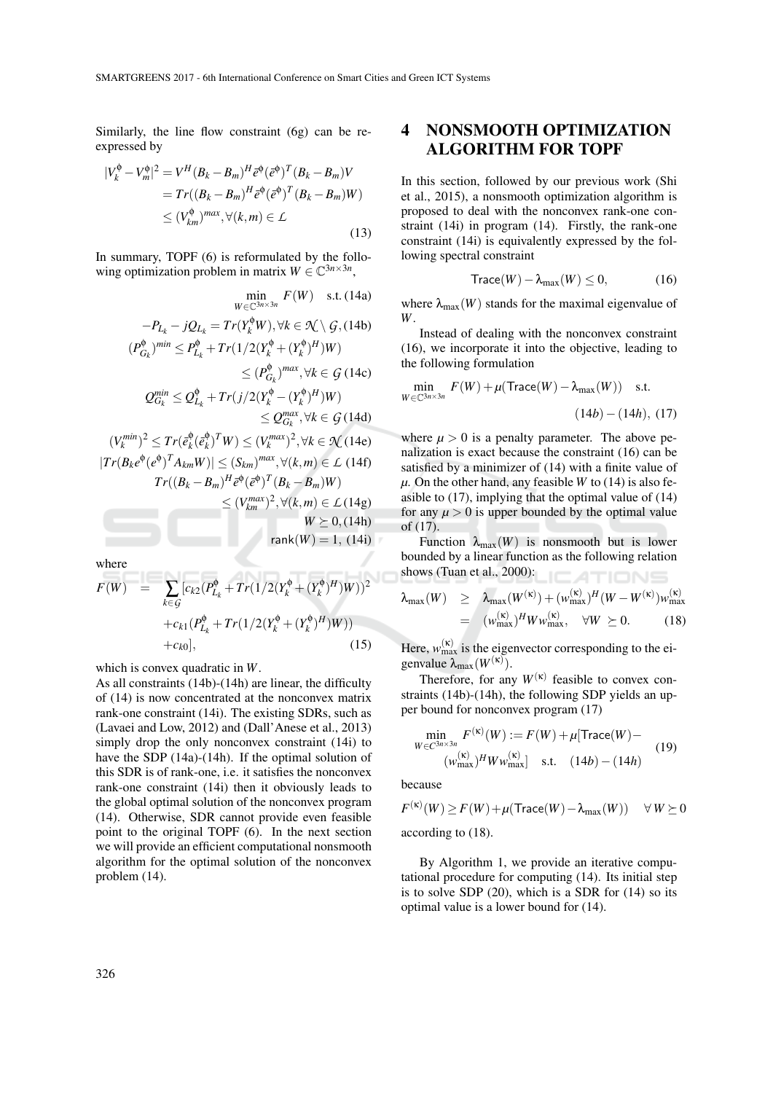Similarly, the line flow constraint (6g) can be reexpressed by

$$
|V_k^{\phi} - V_m^{\phi}|^2 = V^H (B_k - B_m)^H \bar{e}^{\phi} (\bar{e}^{\phi})^T (B_k - B_m) V
$$
  
=  $Tr((B_k - B_m)^H \bar{e}^{\phi} (\bar{e}^{\phi})^T (B_k - B_m) W)$   
 $\leq (V_{km}^{\phi})^{max}, \forall (k, m) \in \mathcal{L}$  (13)

In summary, TOPF (6) is reformulated by the following optimization problem in matrix  $W \in \mathbb{C}^{3n \times 3n}$ ,

$$
\min_{W \in \mathbb{C}^{3n \times 3n}} F(W) \text{ s.t. (14a)}
$$
\n
$$
-P_{L_k} - jQ_{L_k} = Tr(Y_k^{\phi}W), \forall k \in \mathcal{K} \setminus \mathcal{G}, (14b)
$$
\n
$$
(P_{G_k}^{\phi})^{min} \le P_{L_k}^{\phi} + Tr(1/2(Y_k^{\phi} + (Y_k^{\phi})^H)W)
$$
\n
$$
\le (P_{G_k}^{\phi})^{max}, \forall k \in \mathcal{G} \text{ (14c)}
$$
\n
$$
Q_{G_k}^{min} \le Q_{L_k}^{\phi} + Tr(j/2(Y_k^{\phi} - (Y_k^{\phi})^H)W)
$$
\n
$$
\le Q_{G_k}^{max}, \forall k \in \mathcal{G} \text{ (14d)}
$$
\n
$$
(V_k^{min})^2 \le Tr(\bar{e}_k^{\phi}(\bar{e}_k^{\phi})^T W) \le (V_k^{max})^2, \forall k \in \mathcal{K} \text{ (14e)}
$$
\n
$$
|Tr(B_k e^{\phi} (e^{\phi})^T A_{km} W)| \le (S_{km})^{max}, \forall (k, m) \in \mathcal{L} \text{ (14f)}
$$
\n
$$
Tr((B_k - B_m)^H \bar{e}^{\phi} (\bar{e}^{\phi})^T (B_k - B_m)W)
$$
\n
$$
\le (V_{km}^{max})^2, \forall (k, m) \in \mathcal{L} \text{ (14g)}
$$
\n
$$
W \ge 0, (14h)
$$
\n
$$
rank(W) = 1, (14i)
$$

where

$$
F(W) = \sum_{k \in \mathcal{G}} [c_{k2}(P_{L_k}^{\phi} + Tr(1/2(Y_k^{\phi} + (Y_k^{\phi})^H)W))^2
$$
  
+  $c_{k1}(P_{L_k}^{\phi} + Tr(1/2(Y_k^{\phi} + (Y_k^{\phi})^H)W))$   
+  $c_{k0}$ ], (15)

which is convex quadratic in *W*.

As all constraints (14b)-(14h) are linear, the difficulty of (14) is now concentrated at the nonconvex matrix rank-one constraint (14i). The existing SDRs, such as (Lavaei and Low, 2012) and (Dall'Anese et al., 2013) simply drop the only nonconvex constraint (14i) to have the SDP (14a)-(14h). If the optimal solution of this SDR is of rank-one, i.e. it satisfies the nonconvex rank-one constraint (14i) then it obviously leads to the global optimal solution of the nonconvex program (14). Otherwise, SDR cannot provide even feasible point to the original TOPF (6). In the next section we will provide an efficient computational nonsmooth algorithm for the optimal solution of the nonconvex problem (14).

# 4 NONSMOOTH OPTIMIZATION ALGORITHM FOR TOPF

In this section, followed by our previous work (Shi et al., 2015), a nonsmooth optimization algorithm is proposed to deal with the nonconvex rank-one constraint (14i) in program (14). Firstly, the rank-one constraint (14i) is equivalently expressed by the following spectral constraint

$$
Trace(W) - \lambda_{\max}(W) \le 0, \qquad (16)
$$

where  $\lambda_{\text{max}}(W)$  stands for the maximal eigenvalue of *W*.

Instead of dealing with the nonconvex constraint (16), we incorporate it into the objective, leading to the following formulation

$$
\min_{W \in \mathbb{C}^{3n \times 3n}} F(W) + \mu(\text{Trace}(W) - \lambda_{\text{max}}(W)) \quad \text{s.t.}
$$
\n
$$
(14b) - (14h), (17)
$$

where  $\mu > 0$  is a penalty parameter. The above penalization is exact because the constraint (16) can be satisfied by a minimizer of (14) with a finite value of  $\mu$ . On the other hand, any feasible *W* to (14) is also feasible to (17), implying that the optimal value of (14) for any  $\mu > 0$  is upper bounded by the optimal value of (17).

Function  $\lambda_{\text{max}}(W)$  is nonsmooth but is lower bounded by a linear function as the following relation shows (Tuan et al., 2000): ATIONS

$$
\lambda_{\max}(W) \geq \lambda_{\max}(W^{(\kappa)}) + (\mathbf{w}_{\max}^{(\kappa)})^H (W - W^{(\kappa)}) \mathbf{w}_{\max}^{(\kappa)}
$$
  
= 
$$
(\mathbf{w}_{\max}^{(\kappa)})^H W \mathbf{w}_{\max}^{(\kappa)}, \quad \forall W \succeq 0. \tag{18}
$$

Here,  $w_{\text{max}}^{(k)}$  is the eigenvector corresponding to the eigenvalue  $\lambda_{\text{max}}(W^{(\kappa)})$ .

Therefore, for any  $W^{(\kappa)}$  feasible to convex constraints (14b)-(14h), the following SDP yields an upper bound for nonconvex program (17)

$$
\min_{W \in C^{3n \times 3n}} F^{(\kappa)}(W) := F(W) + \mu[\text{Trace}(W) -
$$
  

$$
(\omega_{\text{max}}^{(\kappa)})^H W \omega_{\text{max}}^{(\kappa)}] \quad \text{s.t.} \quad (14b) - (14h)
$$
 (19)

because

$$
F^{(\kappa)}(W) \ge F(W) + \mu(\text{Trace}(W) - \lambda_{\max}(W)) \quad \forall \, W \succeq 0
$$

according to (18).

(κ)

By Algorithm 1, we provide an iterative computational procedure for computing (14). Its initial step is to solve SDP (20), which is a SDR for (14) so its optimal value is a lower bound for (14).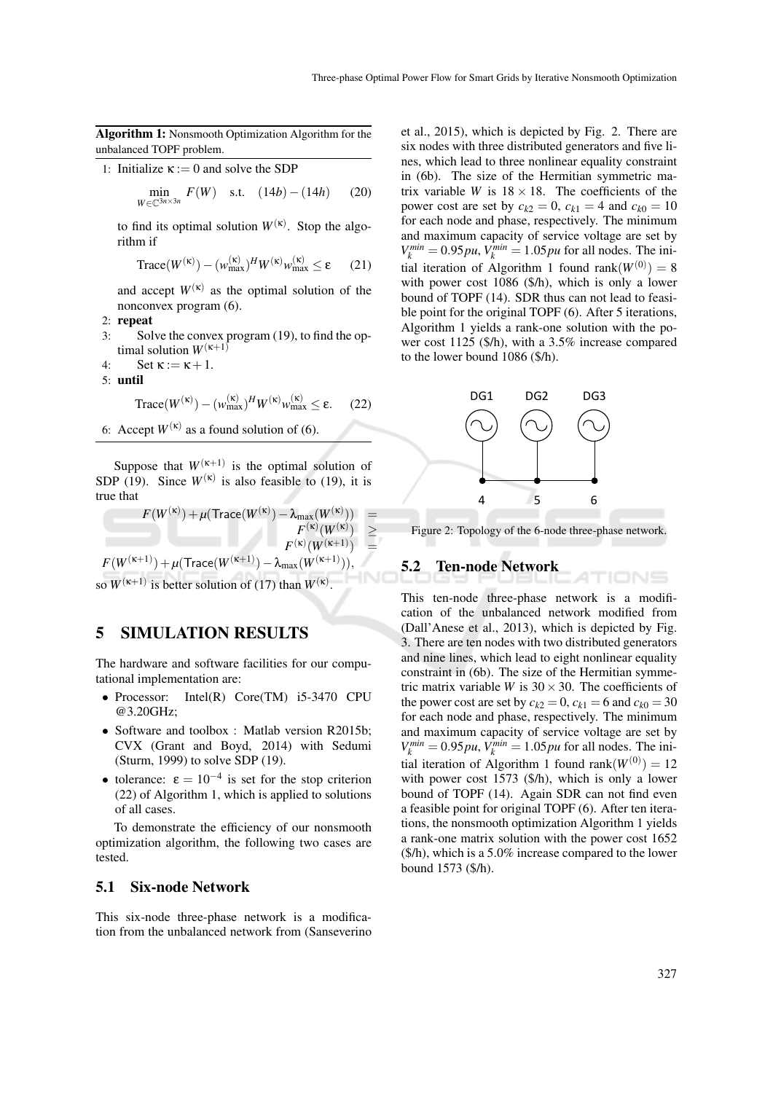Algorithm 1: Nonsmooth Optimization Algorithm for the unbalanced TOPF problem.

1: Initialize  $\kappa := 0$  and solve the SDP

$$
\min_{W \in \mathbb{C}^{3n \times 3n}} F(W) \quad \text{s.t.} \quad (14b) - (14h) \tag{20}
$$

to find its optimal solution  $W^{(k)}$ . Stop the algorithm if

$$
\text{Trace}(W^{(\kappa)}) - (w_{\text{max}}^{(\kappa)})^H W^{(\kappa)} w_{\text{max}}^{(\kappa)} \le \varepsilon \qquad (21)
$$

and accept  $W^{(\kappa)}$  as the optimal solution of the nonconvex program (6).

- 2: repeat
- 3: Solve the convex program (19), to find the optimal solution  $W^{(\kappa+1)}$
- 4:  $\operatorname{Set} \kappa := \kappa + 1$ .

5: until

Trace( $W^{(\kappa)}$ ) –  $(w_{\text{max}}^{(\kappa)})^H W^{(\kappa)} w_{\text{max}}^{(\kappa)} \le \varepsilon$ . (22)

6: Accept  $W^{(\kappa)}$  as a found solution of (6).

Suppose that  $W^{(\kappa+1)}$  is the optimal solution of SDP (19). Since  $W^{(\kappa)}$  is also feasible to (19), it is true that

 $F(W^{(\kappa)}) + \mu(\operatorname{Trace}(W^{(\kappa)}) - \lambda_{\max}(W^{(\kappa)}))$  =  $F^{(\kappa)}(W^{(\kappa)}) \geq$  $F^{(\kappa)}(W^{(\kappa+1)})$  =  $F(W^{(\kappa+1)}) + \mu(\text{Trace}(W^{(\kappa+1)}) - \lambda_{\max}(W^{(\kappa+1)})),$ 

so  $W^{(\kappa+1)}$  is better solution of (17) than  $W^{(\kappa)}$ .

### 5 SIMULATION RESULTS

The hardware and software facilities for our computational implementation are:

- Processor: Intel(R) Core(TM) i5-3470 CPU @3.20GHz;
- Software and toolbox : Matlab version R2015b; CVX (Grant and Boyd, 2014) with Sedumi (Sturm, 1999) to solve SDP (19).
- tolerance:  $\epsilon = 10^{-4}$  is set for the stop criterion (22) of Algorithm 1, which is applied to solutions of all cases.

To demonstrate the efficiency of our nonsmooth optimization algorithm, the following two cases are tested.

#### 5.1 Six-node Network

This six-node three-phase network is a modification from the unbalanced network from (Sanseverino et al., 2015), which is depicted by Fig. 2. There are six nodes with three distributed generators and five lines, which lead to three nonlinear equality constraint in (6b). The size of the Hermitian symmetric matrix variable *W* is  $18 \times 18$ . The coefficients of the power cost are set by  $c_{k2} = 0$ ,  $c_{k1} = 4$  and  $c_{k0} = 10$ for each node and phase, respectively. The minimum and maximum capacity of service voltage are set by  $V_k^{min} = 0.95 \mu$ ,  $V_k^{min} = 1.05 \mu$  for all nodes. The initial iteration of Algorithm 1 found rank $(W^{(0)}) = 8$ with power cost 1086 (\$/h), which is only a lower bound of TOPF (14). SDR thus can not lead to feasible point for the original TOPF (6). After 5 iterations, Algorithm 1 yields a rank-one solution with the power cost 1125 (\$/h), with a 3.5% increase compared to the lower bound 1086 (\$/h).



Figure 2: Topology of the 6-node three-phase network.

TIONS

#### 5.2 Ten-node Network

This ten-node three-phase network is a modification of the unbalanced network modified from (Dall'Anese et al., 2013), which is depicted by Fig. 3. There are ten nodes with two distributed generators and nine lines, which lead to eight nonlinear equality constraint in (6b). The size of the Hermitian symmetric matrix variable *W* is  $30 \times 30$ . The coefficients of the power cost are set by  $c_{k2} = 0$ ,  $c_{k1} = 6$  and  $c_{k0} = 30$ for each node and phase, respectively. The minimum and maximum capacity of service voltage are set by  $V_k^{min} = 0.95 \mu$ ,  $V_k^{min} = 1.05 \mu$  for all nodes. The initial iteration of Algorithm 1 found rank $(W^{(0)}) = 12$ with power cost 1573 (\$/h), which is only a lower bound of TOPF (14). Again SDR can not find even a feasible point for original TOPF (6). After ten iterations, the nonsmooth optimization Algorithm 1 yields a rank-one matrix solution with the power cost 1652 (\$/h), which is a 5.0% increase compared to the lower bound 1573 (\$/h).